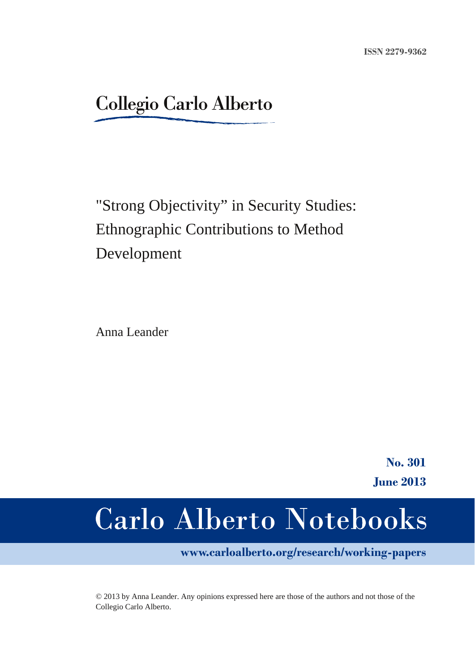### **Collegio Carlo Alberto**

## "Strong Objectivity" in Security Studies: Ethnographic Contributions to Method Development

Anna Leander

**No. 301 June 2013**

# **Carlo Alberto Notebooks**

**www.carloalberto.org/research/working-papers**

© 2013 by Anna Leander. Any opinions expressed here are those of the authors and not those of the Collegio Carlo Alberto.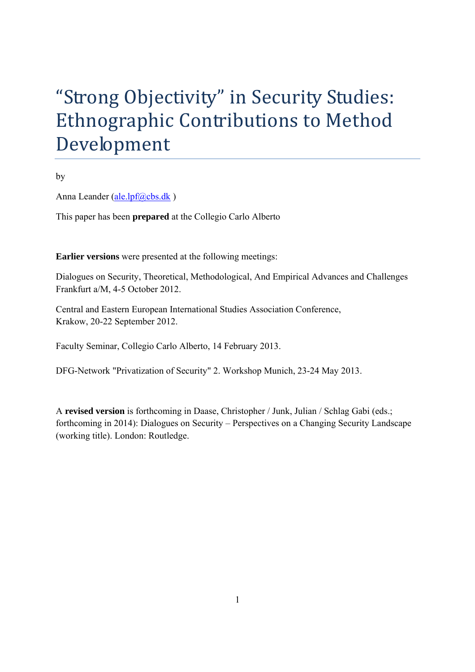# "Strong Objectivity" in Security Studies: Ethnographic Contributions to Method Development

by

Anna Leander (ale.lpf@cbs.dk)

This paper has been **prepared** at the Collegio Carlo Alberto

**Earlier versions** were presented at the following meetings:

Dialogues on Security, Theoretical, Methodological, And Empirical Advances and Challenges Frankfurt a/M, 4-5 October 2012.

Central and Eastern European International Studies Association Conference, Krakow, 20-22 September 2012.

Faculty Seminar, Collegio Carlo Alberto, 14 February 2013.

DFG-Network "Privatization of Security" 2. Workshop Munich, 23-24 May 2013.

A **revised version** is forthcoming in Daase, Christopher / Junk, Julian / Schlag Gabi (eds.; forthcoming in 2014): Dialogues on Security – Perspectives on a Changing Security Landscape (working title). London: Routledge.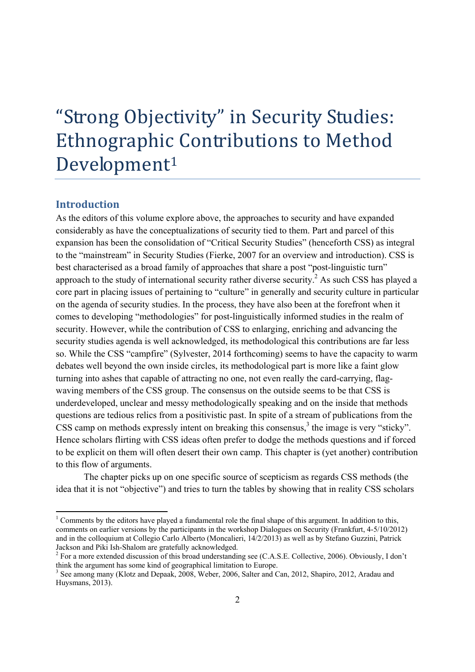# "Strong Objectivity" in Security Studies: Ethnographic Contributions to Method Development<sup>1</sup>

#### **Introduction**

-

As the editors of this volume explore above, the approaches to security and have expanded considerably as have the conceptualizations of security tied to them. Part and parcel of this expansion has been the consolidation of "Critical Security Studies" (henceforth CSS) as integral to the "mainstream" in Security Studies (Fierke, 2007 for an overview and introduction). CSS is best characterised as a broad family of approaches that share a post "post-linguistic turn" approach to the study of international security rather diverse security.<sup>2</sup> As such CSS has played a core part in placing issues of pertaining to "culture" in generally and security culture in particular on the agenda of security studies. In the process, they have also been at the forefront when it comes to developing "methodologies" for post-linguistically informed studies in the realm of security. However, while the contribution of CSS to enlarging, enriching and advancing the security studies agenda is well acknowledged, its methodological this contributions are far less so. While the CSS "campfire" (Sylvester, 2014 forthcoming) seems to have the capacity to warm debates well beyond the own inside circles, its methodological part is more like a faint glow turning into ashes that capable of attracting no one, not even really the card-carrying, flagwaving members of the CSS group. The consensus on the outside seems to be that CSS is underdeveloped, unclear and messy methodologically speaking and on the inside that methods questions are tedious relics from a positivistic past. In spite of a stream of publications from the  $CSS$  camp on methods expressly intent on breaking this consensus, $3$  the image is very "sticky". Hence scholars flirting with CSS ideas often prefer to dodge the methods questions and if forced to be explicit on them will often desert their own camp. This chapter is (yet another) contribution to this flow of arguments.

The chapter picks up on one specific source of scepticism as regards CSS methods (the idea that it is not "objective") and tries to turn the tables by showing that in reality CSS scholars

<sup>&</sup>lt;sup>1</sup> Comments by the editors have played a fundamental role the final shape of this argument. In addition to this, comments on earlier versions by the participants in the workshop Dialogues on Security (Frankfurt, 4-5/10/2012) and in the colloquium at Collegio Carlo Alberto (Moncalieri, 14/2/2013) as well as by Stefano Guzzini, Patrick Jackson and Piki Ish-Shalom are gratefully acknowledged.

 $2^2$  For a more extended discussion of this broad understanding see (C.A.S.E. Collective, 2006). Obviously, I don't think the argument has some kind of geographical limitation to Europe.

<sup>&</sup>lt;sup>3</sup> See among many (Klotz and Depaak, 2008, Weber, 2006, Salter and Can, 2012, Shapiro, 2012, Aradau and Huysmans, 2013).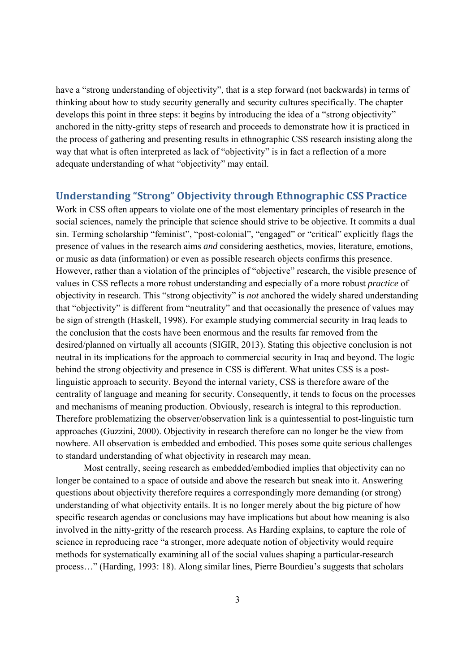have a "strong understanding of objectivity", that is a step forward (not backwards) in terms of thinking about how to study security generally and security cultures specifically. The chapter develops this point in three steps: it begins by introducing the idea of a "strong objectivity" anchored in the nitty-gritty steps of research and proceeds to demonstrate how it is practiced in the process of gathering and presenting results in ethnographic CSS research insisting along the way that what is often interpreted as lack of "objectivity" is in fact a reflection of a more adequate understanding of what "objectivity" may entail.

#### **Understanding "Strong" Objectivity through Ethnographic CSS Practice**

Work in CSS often appears to violate one of the most elementary principles of research in the social sciences, namely the principle that science should strive to be objective. It commits a dual sin. Terming scholarship "feminist", "post-colonial", "engaged" or "critical" explicitly flags the presence of values in the research aims *and* considering aesthetics, movies, literature, emotions, or music as data (information) or even as possible research objects confirms this presence. However, rather than a violation of the principles of "objective" research, the visible presence of values in CSS reflects a more robust understanding and especially of a more robust *practice* of objectivity in research. This "strong objectivity" is *not* anchored the widely shared understanding that "objectivity" is different from "neutrality" and that occasionally the presence of values may be sign of strength (Haskell, 1998). For example studying commercial security in Iraq leads to the conclusion that the costs have been enormous and the results far removed from the desired/planned on virtually all accounts (SIGIR, 2013). Stating this objective conclusion is not neutral in its implications for the approach to commercial security in Iraq and beyond. The logic behind the strong objectivity and presence in CSS is different. What unites CSS is a postlinguistic approach to security. Beyond the internal variety, CSS is therefore aware of the centrality of language and meaning for security. Consequently, it tends to focus on the processes and mechanisms of meaning production. Obviously, research is integral to this reproduction. Therefore problematizing the observer/observation link is a quintessential to post-linguistic turn approaches (Guzzini, 2000). Objectivity in research therefore can no longer be the view from nowhere. All observation is embedded and embodied. This poses some quite serious challenges to standard understanding of what objectivity in research may mean.

Most centrally, seeing research as embedded/embodied implies that objectivity can no longer be contained to a space of outside and above the research but sneak into it. Answering questions about objectivity therefore requires a correspondingly more demanding (or strong) understanding of what objectivity entails. It is no longer merely about the big picture of how specific research agendas or conclusions may have implications but about how meaning is also involved in the nitty-gritty of the research process. As Harding explains, to capture the role of science in reproducing race "a stronger, more adequate notion of objectivity would require methods for systematically examining all of the social values shaping a particular-research process…" (Harding, 1993: 18). Along similar lines, Pierre Bourdieu's suggests that scholars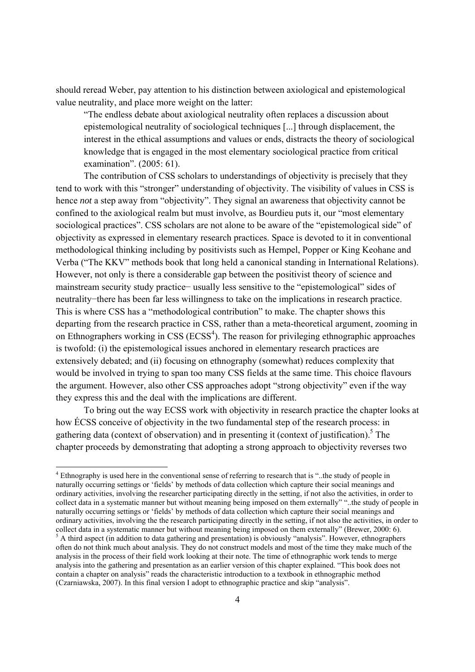should reread Weber, pay attention to his distinction between axiological and epistemological value neutrality, and place more weight on the latter:

"The endless debate about axiological neutrality often replaces a discussion about epistemological neutrality of sociological techniques [...] through displacement, the interest in the ethical assumptions and values or ends, distracts the theory of sociological knowledge that is engaged in the most elementary sociological practice from critical examination". (2005: 61).

The contribution of CSS scholars to understandings of objectivity is precisely that they tend to work with this "stronger" understanding of objectivity. The visibility of values in CSS is hence *not* a step away from "objectivity". They signal an awareness that objectivity cannot be confined to the axiological realm but must involve, as Bourdieu puts it, our "most elementary sociological practices". CSS scholars are not alone to be aware of the "epistemological side" of objectivity as expressed in elementary research practices. Space is devoted to it in conventional methodological thinking including by positivists such as Hempel, Popper or King Keohane and Verba ("The KKV" methods book that long held a canonical standing in International Relations). However, not only is there a considerable gap between the positivist theory of science and mainstream security study practice− usually less sensitive to the "epistemological" sides of neutrality−there has been far less willingness to take on the implications in research practice. This is where CSS has a "methodological contribution" to make. The chapter shows this departing from the research practice in CSS, rather than a meta-theoretical argument, zooming in on Ethnographers working in  $CSS$  ( $ECSS<sup>4</sup>$ ). The reason for privileging ethnographic approaches is twofold: (i) the epistemological issues anchored in elementary research practices are extensively debated; and (ii) focusing on ethnography (somewhat) reduces complexity that would be involved in trying to span too many CSS fields at the same time. This choice flavours the argument. However, also other CSS approaches adopt "strong objectivity" even if the way they express this and the deal with the implications are different.

To bring out the way ECSS work with objectivity in research practice the chapter looks at how ÉCSS conceive of objectivity in the two fundamental step of the research process: in gathering data (context of observation) and in presenting it (context of justification).<sup>5</sup> The chapter proceeds by demonstrating that adopting a strong approach to objectivity reverses two

-

<sup>&</sup>lt;sup>4</sup> Ethnography is used here in the conventional sense of referring to research that is "..the study of people in naturally occurring settings or 'fields' by methods of data collection which capture their social meanings and ordinary activities, involving the researcher participating directly in the setting, if not also the activities, in order to collect data in a systematic manner but without meaning being imposed on them externally" "..the study of people in naturally occurring settings or 'fields' by methods of data collection which capture their social meanings and ordinary activities, involving the the research participating directly in the setting, if not also the activities, in order to collect data in a systematic manner but without meaning being imposed on them externally" (Brewer, 2000: 6).  $<sup>5</sup>$  A third aspect (in addition to data gathering and presentation) is obviously "analysis". However, ethnographers</sup> often do not think much about analysis. They do not construct models and most of the time they make much of the analysis in the process of their field work looking at their note. The time of ethnographic work tends to merge analysis into the gathering and presentation as an earlier version of this chapter explained. "This book does not contain a chapter on analysis" reads the characteristic introduction to a textbook in ethnographic method (Czarniawska, 2007). In this final version I adopt to ethnographic practice and skip "analysis".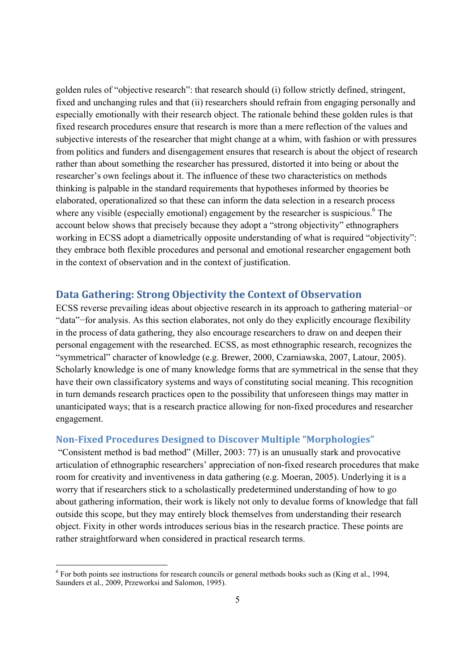golden rules of "objective research": that research should (i) follow strictly defined, stringent, fixed and unchanging rules and that (ii) researchers should refrain from engaging personally and especially emotionally with their research object. The rationale behind these golden rules is that fixed research procedures ensure that research is more than a mere reflection of the values and subjective interests of the researcher that might change at a whim, with fashion or with pressures from politics and funders and disengagement ensures that research is about the object of research rather than about something the researcher has pressured, distorted it into being or about the researcher's own feelings about it. The influence of these two characteristics on methods thinking is palpable in the standard requirements that hypotheses informed by theories be elaborated, operationalized so that these can inform the data selection in a research process where any visible (especially emotional) engagement by the researcher is suspicious.<sup>6</sup> The account below shows that precisely because they adopt a "strong objectivity" ethnographers working in ECSS adopt a diametrically opposite understanding of what is required "objectivity": they embrace both flexible procedures and personal and emotional researcher engagement both in the context of observation and in the context of justification.

#### **Data Gathering: Strong Objectivity the Context of Observation**

ECSS reverse prevailing ideas about objective research in its approach to gathering material−or "data"−for analysis. As this section elaborates, not only do they explicitly encourage flexibility in the process of data gathering, they also encourage researchers to draw on and deepen their personal engagement with the researched. ECSS, as most ethnographic research, recognizes the "symmetrical" character of knowledge (e.g. Brewer, 2000, Czarniawska, 2007, Latour, 2005). Scholarly knowledge is one of many knowledge forms that are symmetrical in the sense that they have their own classificatory systems and ways of constituting social meaning. This recognition in turn demands research practices open to the possibility that unforeseen things may matter in unanticipated ways; that is a research practice allowing for non-fixed procedures and researcher engagement.

#### **NonFixed Procedures Designed to Discover Multiple "Morphologies"**

 "Consistent method is bad method" (Miller, 2003: 77) is an unusually stark and provocative articulation of ethnographic researchers' appreciation of non-fixed research procedures that make room for creativity and inventiveness in data gathering (e.g. Moeran, 2005). Underlying it is a worry that if researchers stick to a scholastically predetermined understanding of how to go about gathering information, their work is likely not only to devalue forms of knowledge that fall outside this scope, but they may entirely block themselves from understanding their research object. Fixity in other words introduces serious bias in the research practice. These points are rather straightforward when considered in practical research terms.

-

 $6$  For both points see instructions for research councils or general methods books such as (King et al., 1994, Saunders et al., 2009, Przeworksi and Salomon, 1995).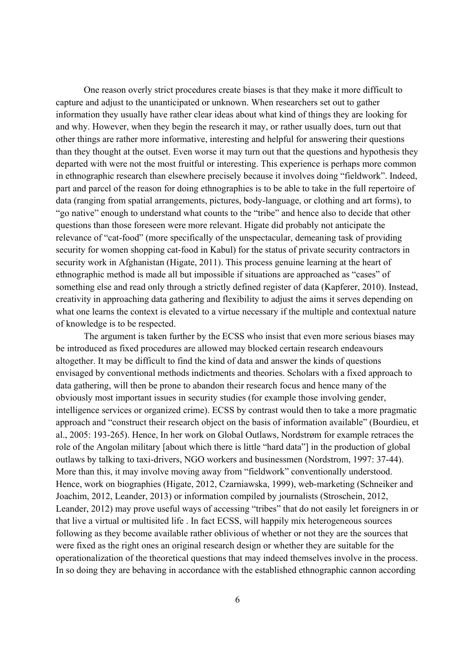One reason overly strict procedures create biases is that they make it more difficult to capture and adjust to the unanticipated or unknown. When researchers set out to gather information they usually have rather clear ideas about what kind of things they are looking for and why. However, when they begin the research it may, or rather usually does, turn out that other things are rather more informative, interesting and helpful for answering their questions than they thought at the outset. Even worse it may turn out that the questions and hypothesis they departed with were not the most fruitful or interesting. This experience is perhaps more common in ethnographic research than elsewhere precisely because it involves doing "fieldwork". Indeed, part and parcel of the reason for doing ethnographies is to be able to take in the full repertoire of data (ranging from spatial arrangements, pictures, body-language, or clothing and art forms), to "go native" enough to understand what counts to the "tribe" and hence also to decide that other questions than those foreseen were more relevant. Higate did probably not anticipate the relevance of "cat-food" (more specifically of the unspectacular, demeaning task of providing security for women shopping cat-food in Kabul) for the status of private security contractors in security work in Afghanistan (Higate, 2011). This process genuine learning at the heart of ethnographic method is made all but impossible if situations are approached as "cases" of something else and read only through a strictly defined register of data (Kapferer, 2010). Instead, creativity in approaching data gathering and flexibility to adjust the aims it serves depending on what one learns the context is elevated to a virtue necessary if the multiple and contextual nature of knowledge is to be respected.

 The argument is taken further by the ECSS who insist that even more serious biases may be introduced as fixed procedures are allowed may blocked certain research endeavours altogether. It may be difficult to find the kind of data and answer the kinds of questions envisaged by conventional methods indictments and theories. Scholars with a fixed approach to data gathering, will then be prone to abandon their research focus and hence many of the obviously most important issues in security studies (for example those involving gender, intelligence services or organized crime). ECSS by contrast would then to take a more pragmatic approach and "construct their research object on the basis of information available" (Bourdieu, et al., 2005: 193-265). Hence, In her work on Global Outlaws, Nordstrøm for example retraces the role of the Angolan military [about which there is little "hard data"] in the production of global outlaws by talking to taxi-drivers, NGO workers and businessmen (Nordstrom, 1997: 37-44). More than this, it may involve moving away from "fieldwork" conventionally understood. Hence, work on biographies (Higate, 2012, Czarniawska, 1999), web-marketing (Schneiker and Joachim, 2012, Leander, 2013) or information compiled by journalists (Stroschein, 2012, Leander, 2012) may prove useful ways of accessing "tribes" that do not easily let foreigners in or that live a virtual or multisited life . In fact ECSS, will happily mix heterogeneous sources following as they become available rather oblivious of whether or not they are the sources that were fixed as the right ones an original research design or whether they are suitable for the operationalization of the theoretical questions that may indeed themselves involve in the process. In so doing they are behaving in accordance with the established ethnographic cannon according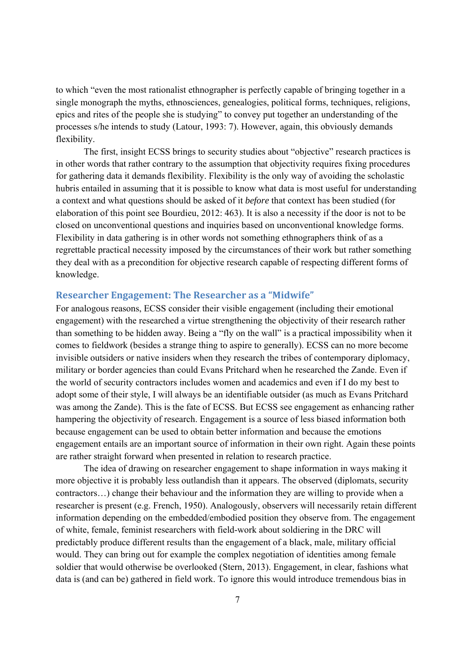to which "even the most rationalist ethnographer is perfectly capable of bringing together in a single monograph the myths, ethnosciences, genealogies, political forms, techniques, religions, epics and rites of the people she is studying" to convey put together an understanding of the processes s/he intends to study (Latour, 1993: 7). However, again, this obviously demands flexibility.

The first, insight ECSS brings to security studies about "objective" research practices is in other words that rather contrary to the assumption that objectivity requires fixing procedures for gathering data it demands flexibility. Flexibility is the only way of avoiding the scholastic hubris entailed in assuming that it is possible to know what data is most useful for understanding a context and what questions should be asked of it *before* that context has been studied (for elaboration of this point see Bourdieu, 2012: 463). It is also a necessity if the door is not to be closed on unconventional questions and inquiries based on unconventional knowledge forms. Flexibility in data gathering is in other words not something ethnographers think of as a regrettable practical necessity imposed by the circumstances of their work but rather something they deal with as a precondition for objective research capable of respecting different forms of knowledge.

#### **Researcher Engagement: The Researcher as a "Midwife"**

For analogous reasons, ECSS consider their visible engagement (including their emotional engagement) with the researched a virtue strengthening the objectivity of their research rather than something to be hidden away. Being a "fly on the wall" is a practical impossibility when it comes to fieldwork (besides a strange thing to aspire to generally). ECSS can no more become invisible outsiders or native insiders when they research the tribes of contemporary diplomacy, military or border agencies than could Evans Pritchard when he researched the Zande. Even if the world of security contractors includes women and academics and even if I do my best to adopt some of their style, I will always be an identifiable outsider (as much as Evans Pritchard was among the Zande). This is the fate of ECSS. But ECSS see engagement as enhancing rather hampering the objectivity of research. Engagement is a source of less biased information both because engagement can be used to obtain better information and because the emotions engagement entails are an important source of information in their own right. Again these points are rather straight forward when presented in relation to research practice.

The idea of drawing on researcher engagement to shape information in ways making it more objective it is probably less outlandish than it appears. The observed (diplomats, security contractors…) change their behaviour and the information they are willing to provide when a researcher is present (e.g. French, 1950). Analogously, observers will necessarily retain different information depending on the embedded/embodied position they observe from. The engagement of white, female, feminist researchers with field-work about soldiering in the DRC will predictably produce different results than the engagement of a black, male, military official would. They can bring out for example the complex negotiation of identities among female soldier that would otherwise be overlooked (Stern, 2013). Engagement, in clear, fashions what data is (and can be) gathered in field work. To ignore this would introduce tremendous bias in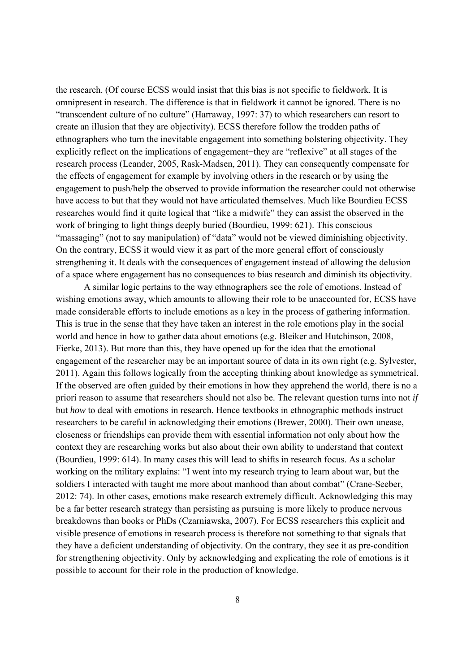the research. (Of course ECSS would insist that this bias is not specific to fieldwork. It is omnipresent in research. The difference is that in fieldwork it cannot be ignored. There is no "transcendent culture of no culture" (Harraway, 1997: 37) to which researchers can resort to create an illusion that they are objectivity). ECSS therefore follow the trodden paths of ethnographers who turn the inevitable engagement into something bolstering objectivity. They explicitly reflect on the implications of engagement−they are "reflexive" at all stages of the research process (Leander, 2005, Rask-Madsen, 2011). They can consequently compensate for the effects of engagement for example by involving others in the research or by using the engagement to push/help the observed to provide information the researcher could not otherwise have access to but that they would not have articulated themselves. Much like Bourdieu ECSS researches would find it quite logical that "like a midwife" they can assist the observed in the work of bringing to light things deeply buried (Bourdieu, 1999: 621). This conscious "massaging" (not to say manipulation) of "data" would not be viewed diminishing objectivity. On the contrary, ECSS it would view it as part of the more general effort of consciously strengthening it. It deals with the consequences of engagement instead of allowing the delusion of a space where engagement has no consequences to bias research and diminish its objectivity.

A similar logic pertains to the way ethnographers see the role of emotions. Instead of wishing emotions away, which amounts to allowing their role to be unaccounted for, ECSS have made considerable efforts to include emotions as a key in the process of gathering information. This is true in the sense that they have taken an interest in the role emotions play in the social world and hence in how to gather data about emotions (e.g. Bleiker and Hutchinson, 2008, Fierke, 2013). But more than this, they have opened up for the idea that the emotional engagement of the researcher may be an important source of data in its own right (e.g. Sylvester, 2011). Again this follows logically from the accepting thinking about knowledge as symmetrical. If the observed are often guided by their emotions in how they apprehend the world, there is no a priori reason to assume that researchers should not also be. The relevant question turns into not *if* but *how* to deal with emotions in research. Hence textbooks in ethnographic methods instruct researchers to be careful in acknowledging their emotions (Brewer, 2000). Their own unease, closeness or friendships can provide them with essential information not only about how the context they are researching works but also about their own ability to understand that context (Bourdieu, 1999: 614). In many cases this will lead to shifts in research focus. As a scholar working on the military explains: "I went into my research trying to learn about war, but the soldiers I interacted with taught me more about manhood than about combat" (Crane-Seeber, 2012: 74). In other cases, emotions make research extremely difficult. Acknowledging this may be a far better research strategy than persisting as pursuing is more likely to produce nervous breakdowns than books or PhDs (Czarniawska, 2007). For ECSS researchers this explicit and visible presence of emotions in research process is therefore not something to that signals that they have a deficient understanding of objectivity. On the contrary, they see it as pre-condition for strengthening objectivity. Only by acknowledging and explicating the role of emotions is it possible to account for their role in the production of knowledge.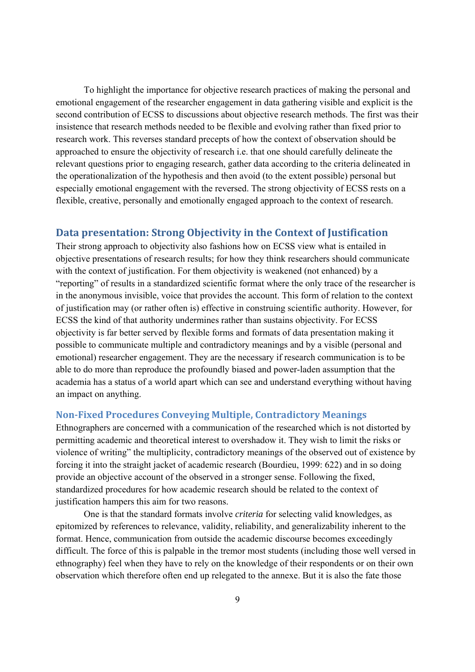To highlight the importance for objective research practices of making the personal and emotional engagement of the researcher engagement in data gathering visible and explicit is the second contribution of ECSS to discussions about objective research methods. The first was their insistence that research methods needed to be flexible and evolving rather than fixed prior to research work. This reverses standard precepts of how the context of observation should be approached to ensure the objectivity of research i.e. that one should carefully delineate the relevant questions prior to engaging research, gather data according to the criteria delineated in the operationalization of the hypothesis and then avoid (to the extent possible) personal but especially emotional engagement with the reversed. The strong objectivity of ECSS rests on a flexible, creative, personally and emotionally engaged approach to the context of research.

#### **Data presentation: Strong Objectivity in the Context of Justification**

Their strong approach to objectivity also fashions how on ECSS view what is entailed in objective presentations of research results; for how they think researchers should communicate with the context of justification. For them objectivity is weakened (not enhanced) by a "reporting" of results in a standardized scientific format where the only trace of the researcher is in the anonymous invisible, voice that provides the account. This form of relation to the context of justification may (or rather often is) effective in construing scientific authority. However, for ECSS the kind of that authority undermines rather than sustains objectivity. For ECSS objectivity is far better served by flexible forms and formats of data presentation making it possible to communicate multiple and contradictory meanings and by a visible (personal and emotional) researcher engagement. They are the necessary if research communication is to be able to do more than reproduce the profoundly biased and power-laden assumption that the academia has a status of a world apart which can see and understand everything without having an impact on anything.

#### **NonFixed Procedures Conveying Multiple, Contradictory Meanings**

Ethnographers are concerned with a communication of the researched which is not distorted by permitting academic and theoretical interest to overshadow it. They wish to limit the risks or violence of writing" the multiplicity, contradictory meanings of the observed out of existence by forcing it into the straight jacket of academic research (Bourdieu, 1999: 622) and in so doing provide an objective account of the observed in a stronger sense. Following the fixed, standardized procedures for how academic research should be related to the context of justification hampers this aim for two reasons.

 One is that the standard formats involve *criteria* for selecting valid knowledges, as epitomized by references to relevance, validity, reliability, and generalizability inherent to the format. Hence, communication from outside the academic discourse becomes exceedingly difficult. The force of this is palpable in the tremor most students (including those well versed in ethnography) feel when they have to rely on the knowledge of their respondents or on their own observation which therefore often end up relegated to the annexe. But it is also the fate those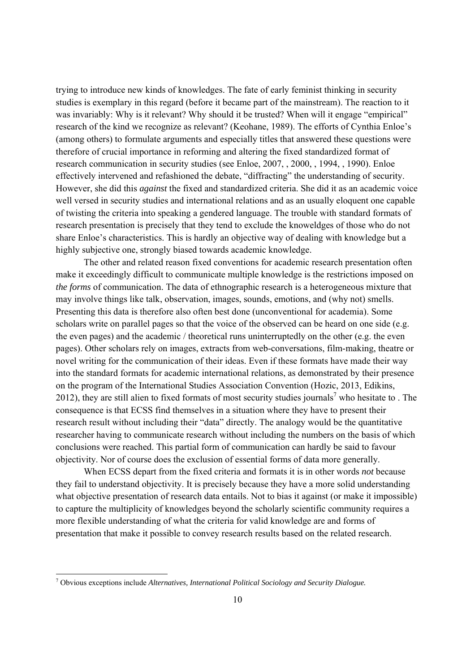trying to introduce new kinds of knowledges. The fate of early feminist thinking in security studies is exemplary in this regard (before it became part of the mainstream). The reaction to it was invariably: Why is it relevant? Why should it be trusted? When will it engage "empirical" research of the kind we recognize as relevant? (Keohane, 1989). The efforts of Cynthia Enloe's (among others) to formulate arguments and especially titles that answered these questions were therefore of crucial importance in reforming and altering the fixed standardized format of research communication in security studies (see Enloe, 2007, , 2000, , 1994, , 1990). Enloe effectively intervened and refashioned the debate, "diffracting" the understanding of security. However, she did this *against* the fixed and standardized criteria. She did it as an academic voice well versed in security studies and international relations and as an usually eloquent one capable of twisting the criteria into speaking a gendered language. The trouble with standard formats of research presentation is precisely that they tend to exclude the knoweldges of those who do not share Enloe's characteristics. This is hardly an objective way of dealing with knowledge but a highly subjective one, strongly biased towards academic knowledge.

The other and related reason fixed conventions for academic research presentation often make it exceedingly difficult to communicate multiple knowledge is the restrictions imposed on *the forms* of communication. The data of ethnographic research is a heterogeneous mixture that may involve things like talk, observation, images, sounds, emotions, and (why not) smells. Presenting this data is therefore also often best done (unconventional for academia). Some scholars write on parallel pages so that the voice of the observed can be heard on one side (e.g. the even pages) and the academic / theoretical runs uninterruptedly on the other (e.g. the even pages). Other scholars rely on images, extracts from web-conversations, film-making, theatre or novel writing for the communication of their ideas. Even if these formats have made their way into the standard formats for academic international relations, as demonstrated by their presence on the program of the International Studies Association Convention (Hozic, 2013, Edikins, 2012), they are still alien to fixed formats of most security studies journals<sup>7</sup> who hesitate to. The consequence is that ECSS find themselves in a situation where they have to present their research result without including their "data" directly. The analogy would be the quantitative researcher having to communicate research without including the numbers on the basis of which conclusions were reached. This partial form of communication can hardly be said to favour objectivity. Nor of course does the exclusion of essential forms of data more generally.

When ECSS depart from the fixed criteria and formats it is in other words *not* because they fail to understand objectivity. It is precisely because they have a more solid understanding what objective presentation of research data entails. Not to bias it against (or make it impossible) to capture the multiplicity of knowledges beyond the scholarly scientific community requires a more flexible understanding of what the criteria for valid knowledge are and forms of presentation that make it possible to convey research results based on the related research.

1

<sup>7</sup> Obvious exceptions include *Alternatives, International Political Sociology and Security Dialogue.*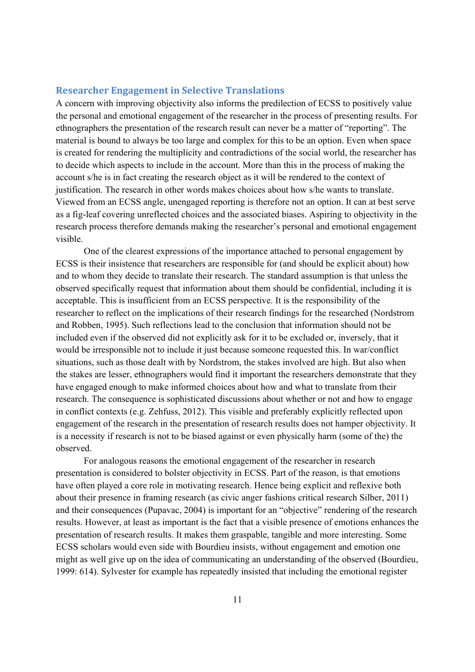#### **Researcher Engagement in Selective Translations**

A concern with improving objectivity also informs the predilection of ECSS to positively value the personal and emotional engagement of the researcher in the process of presenting results. For ethnographers the presentation of the research result can never be a matter of "reporting". The material is bound to always be too large and complex for this to be an option. Even when space is created for rendering the multiplicity and contradictions of the social world, the researcher has to decide which aspects to include in the account. More than this in the process of making the account s/he is in fact creating the research object as it will be rendered to the context of justification. The research in other words makes choices about how s/he wants to translate. Viewed from an ECSS angle, unengaged reporting is therefore not an option. It can at best serve as a fig-leaf covering unreflected choices and the associated biases. Aspiring to objectivity in the research process therefore demands making the researcher's personal and emotional engagement visible.

 One of the clearest expressions of the importance attached to personal engagement by ECSS is their insistence that researchers are responsible for (and should be explicit about) how and to whom they decide to translate their research. The standard assumption is that unless the observed specifically request that information about them should be confidential, including it is acceptable. This is insufficient from an ECSS perspective. It is the responsibility of the researcher to reflect on the implications of their research findings for the researched (Nordstrom and Robben, 1995). Such reflections lead to the conclusion that information should not be included even if the observed did not explicitly ask for it to be excluded or, inversely, that it would be irresponsible not to include it just because someone requested this. In war/conflict situations, such as those dealt with by Nordstrom, the stakes involved are high. But also when the stakes are lesser, ethnographers would find it important the researchers demonstrate that they have engaged enough to make informed choices about how and what to translate from their research. The consequence is sophisticated discussions about whether or not and how to engage in conflict contexts (e.g. Zehfuss, 2012). This visible and preferably explicitly reflected upon engagement of the research in the presentation of research results does not hamper objectivity. It is a necessity if research is not to be biased against or even physically harm (some of the) the observed.

For analogous reasons the emotional engagement of the researcher in research presentation is considered to bolster objectivity in ECSS. Part of the reason, is that emotions have often played a core role in motivating research. Hence being explicit and reflexive both about their presence in framing research (as civic anger fashions critical research Silber, 2011) and their consequences (Pupavac, 2004) is important for an "objective" rendering of the research results. However, at least as important is the fact that a visible presence of emotions enhances the presentation of research results. It makes them graspable, tangible and more interesting. Some ECSS scholars would even side with Bourdieu insists, without engagement and emotion one might as well give up on the idea of communicating an understanding of the observed (Bourdieu, 1999: 614). Sylvester for example has repeatedly insisted that including the emotional register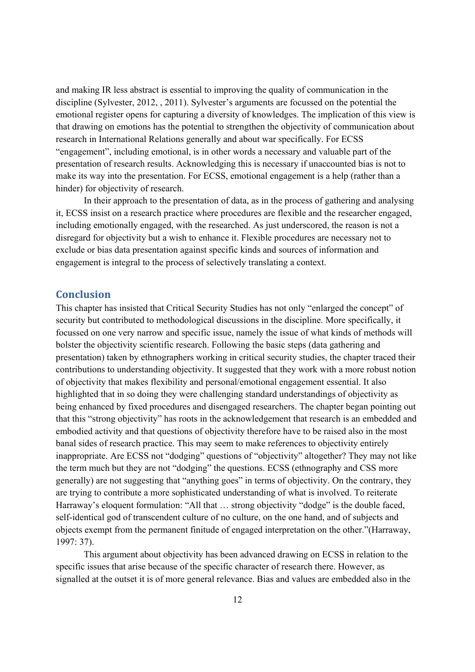and making IR less abstract is essential to improving the quality of communication in the discipline (Sylvester, 2012, , 2011). Sylvester's arguments are focussed on the potential the emotional register opens for capturing a diversity of knowledges. The implication of this view is that drawing on emotions has the potential to strengthen the objectivity of communication about research in International Relations generally and about war specifically. For ECSS "engagement", including emotional, is in other words a necessary and valuable part of the presentation of research results. Acknowledging this is necessary if unaccounted bias is not to make its way into the presentation. For ECSS, emotional engagement is a help (rather than a hinder) for objectivity of research.

 In their approach to the presentation of data, as in the process of gathering and analysing it, ECSS insist on a research practice where procedures are flexible and the researcher engaged, including emotionally engaged, with the researched. As just underscored, the reason is not a disregard for objectivity but a wish to enhance it. Flexible procedures are necessary not to exclude or bias data presentation against specific kinds and sources of information and engagement is integral to the process of selectively translating a context.

#### **Conclusion**

This chapter has insisted that Critical Security Studies has not only "enlarged the concept" of security but contributed to methodological discussions in the discipline. More specifically, it focussed on one very narrow and specific issue, namely the issue of what kinds of methods will bolster the objectivity scientific research. Following the basic steps (data gathering and presentation) taken by ethnographers working in critical security studies, the chapter traced their contributions to understanding objectivity. It suggested that they work with a more robust notion of objectivity that makes flexibility and personal/emotional engagement essential. It also highlighted that in so doing they were challenging standard understandings of objectivity as being enhanced by fixed procedures and disengaged researchers. The chapter began pointing out that this "strong objectivity" has roots in the acknowledgement that research is an embedded and embodied activity and that questions of objectivity therefore have to be raised also in the most banal sides of research practice. This may seem to make references to objectivity entirely inappropriate. Are ECSS not "dodging" questions of "objectivity" altogether? They may not like the term much but they are not "dodging" the questions. ECSS (ethnography and CSS more generally) are not suggesting that "anything goes" in terms of objectivity. On the contrary, they are trying to contribute a more sophisticated understanding of what is involved. To reiterate Harraway's eloquent formulation: "All that ... strong objectivity "dodge" is the double faced, self-identical god of transcendent culture of no culture, on the one hand, and of subjects and objects exempt from the permanent finitude of engaged interpretation on the other."(Harraway, 1997: 37).

This argument about objectivity has been advanced drawing on ECSS in relation to the specific issues that arise because of the specific character of research there. However, as signalled at the outset it is of more general relevance. Bias and values are embedded also in the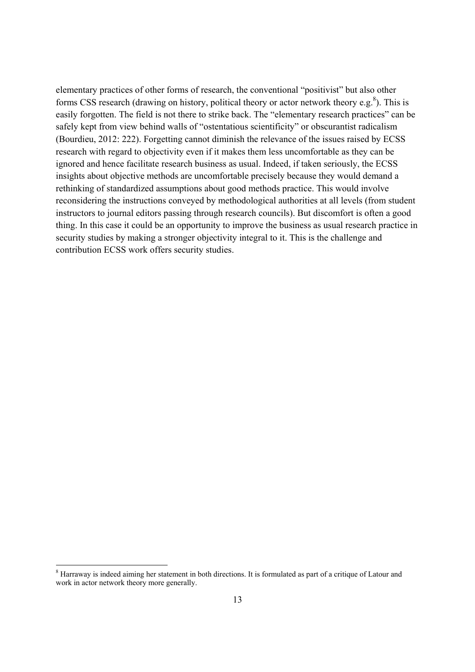elementary practices of other forms of research, the conventional "positivist" but also other forms CSS research (drawing on history, political theory or actor network theory e.g.<sup>8</sup>). This is easily forgotten. The field is not there to strike back. The "elementary research practices" can be safely kept from view behind walls of "ostentatious scientificity" or obscurantist radicalism (Bourdieu, 2012: 222). Forgetting cannot diminish the relevance of the issues raised by ECSS research with regard to objectivity even if it makes them less uncomfortable as they can be ignored and hence facilitate research business as usual. Indeed, if taken seriously, the ECSS insights about objective methods are uncomfortable precisely because they would demand a rethinking of standardized assumptions about good methods practice. This would involve reconsidering the instructions conveyed by methodological authorities at all levels (from student instructors to journal editors passing through research councils). But discomfort is often a good thing. In this case it could be an opportunity to improve the business as usual research practice in security studies by making a stronger objectivity integral to it. This is the challenge and contribution ECSS work offers security studies.

-

<sup>&</sup>lt;sup>8</sup> Harraway is indeed aiming her statement in both directions. It is formulated as part of a critique of Latour and work in actor network theory more generally.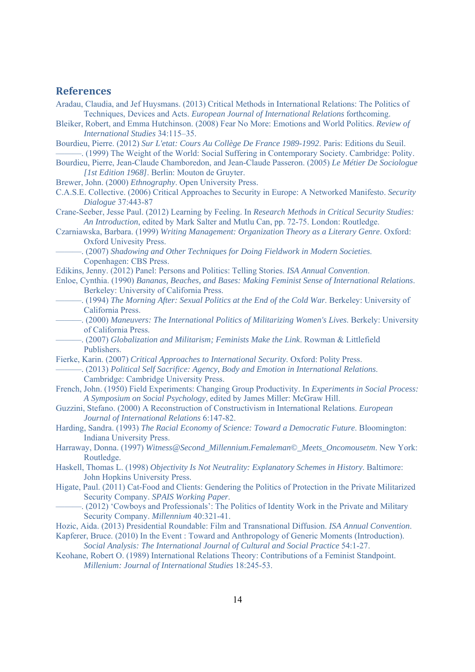#### **References**

- Aradau, Claudia, and Jef Huysmans. (2013) Critical Methods in International Relations: The Politics of Techniques, Devices and Acts. *European Journal of International Relations* forthcoming.
- Bleiker, Robert, and Emma Hutchinson. (2008) Fear No More: Emotions and World Politics. *Review of International Studies* 34:115–35.
- Bourdieu, Pierre. (2012) *Sur L'etat: Cours Au Collège De France 1989-1992*. Paris: Editions du Seuil. ———. (1999) The Weight of the World: Social Suffering in Contemporary Society. Cambridge: Polity.
- Bourdieu, Pierre, Jean-Claude Chamboredon, and Jean-Claude Passeron. (2005) *Le Métier De Sociologue [1st Edition 1968]*. Berlin: Mouton de Gruyter.

Brewer, John. (2000) *Ethnography*. Open University Press.

- C.A.S.E. Collective. (2006) Critical Approaches to Security in Europe: A Networked Manifesto. *Security Dialogue* 37:443-87
- Crane-Seeber, Jesse Paul. (2012) Learning by Feeling. In *Research Methods in Critical Security Studies: An Introduction*, edited by Mark Salter and Mutlu Can, pp. 72-75. London: Routledge.
- Czarniawska, Barbara. (1999) *Writing Management: Organization Theory as a Literary Genre*. Oxford: Oxford Univesity Press.
	- ———. (2007) *Shadowing and Other Techniques for Doing Fieldwork in Modern Societies*. Copenhagen: CBS Press.
- Edikins, Jenny. (2012) Panel: Persons and Politics: Telling Stories. *ISA Annual Convention*.
- Enloe, Cynthia. (1990) *Bananas, Beaches, and Bases: Making Feminist Sense of International Relations*. Berkeley: University of California Press.
	- ———. (1994) *The Morning After: Sexual Politics at the End of the Cold War*. Berkeley: University of California Press.
	- ———. (2000) *Maneuvers: The International Politics of Militarizing Women's Lives*. Berkely: University of California Press.
- ———. (2007) *Globalization and Militarism; Feminists Make the Link*. Rowman & Littlefield Publishers.
- Fierke, Karin. (2007) *Critical Approaches to International Security*. Oxford: Polity Press.
	- ———. (2013) *Political Self Sacrifice: Agency, Body and Emotion in International Relations*. Cambridge: Cambridge University Press.
- French, John. (1950) Field Experiments: Changing Group Productivity. In *Experiments in Social Process: A Symposium on Social Psychology*, edited by James Miller: McGraw Hill.
- Guzzini, Stefano. (2000) A Reconstruction of Constructivism in International Relations. *European Journal of International Relations* 6:147-82.
- Harding, Sandra. (1993) *The Racial Economy of Science: Toward a Democratic Future*. Bloomington: Indiana University Press.
- Harraway, Donna. (1997) *Witness@Second\_Millennium.Femaleman©\_Meets\_Oncomousetm*. New York: Routledge.
- Haskell, Thomas L. (1998) *Objectivity Is Not Neutrality: Explanatory Schemes in History*. Baltimore: John Hopkins University Press.
- Higate, Paul. (2011) Cat-Food and Clients: Gendering the Politics of Protection in the Private Militarized Security Company. *SPAIS Working Paper*.
	- ———. (2012) 'Cowboys and Professionals': The Politics of Identity Work in the Private and Military Security Company. *Millennium* 40:321-41.
- Hozic, Aida. (2013) Presidential Roundable: Film and Transnational Diffusion. *ISA Annual Convention*.
- Kapferer, Bruce. (2010) In the Event : Toward and Anthropology of Generic Moments (Introduction). *Social Analysis: The International Journal of Cultural and Social Practice* 54:1-27.
- Keohane, Robert O. (1989) International Relations Theory: Contributions of a Feminist Standpoint. *Millenium: Journal of International Studies* 18:245-53.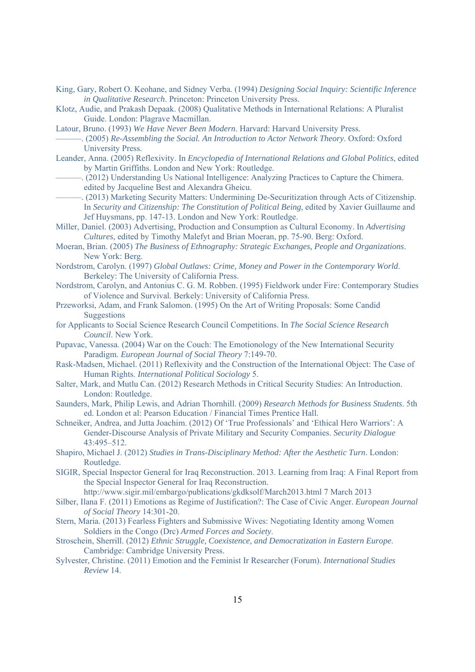- King, Gary, Robert O. Keohane, and Sidney Verba. (1994) *Designing Social Inquiry: Scientific Inference in Qualitative Research*. Princeton: Princeton University Press.
- Klotz, Audie, and Prakash Depaak. (2008) Qualitative Methods in International Relations: A Pluralist Guide. London: Plagrave Macmillan.
- Latour, Bruno. (1993) *We Have Never Been Modern*. Harvard: Harvard University Press.
	- ———. (2005) *Re-Assembling the Social. An Introduction to Actor Network Theory*. Oxford: Oxford University Press.
- Leander, Anna. (2005) Reflexivity. In *Encyclopedia of International Relations and Global Politics*, edited by Martin Griffiths. London and New York: Routledge.
- ———. (2012) Understanding Us National Intelligence: Analyzing Practices to Capture the Chimera. edited by Jacqueline Best and Alexandra Gheicu.
- . (2013) Marketing Security Matters: Undermining De-Securitization through Acts of Citizenship. In *Security and Citizenship: The Constitution of Political Being*, edited by Xavier Guillaume and Jef Huysmans, pp. 147-13. London and New York: Routledge.
- Miller, Daniel. (2003) Advertising, Production and Consumption as Cultural Economy. In *Advertising Cultures*, edited by Timothy Malefyt and Brian Moeran, pp. 75-90. Berg: Oxford.
- Moeran, Brian. (2005) *The Business of Ethnography: Strategic Exchanges, People and Organizations*. New York: Berg.
- Nordstrom, Carolyn. (1997) *Global Outlaws: Crime, Money and Power in the Contemporary World*. Berkeley: The University of California Press.
- Nordstrom, Carolyn, and Antonius C. G. M. Robben. (1995) Fieldwork under Fire: Contemporary Studies of Violence and Survival. Berkely: University of California Press.
- Przeworksi, Adam, and Frank Salomon. (1995) On the Art of Writing Proposals: Some Candid **Suggestions**
- for Applicants to Social Science Research Council Competitions. In *The Social Science Research Council*. New York.
- Pupavac, Vanessa. (2004) War on the Couch: The Emotionology of the New International Security Paradigm. *European Journal of Social Theory* 7:149-70.
- Rask-Madsen, Michael. (2011) Reflexivity and the Construction of the International Object: The Case of Human Rights. *International Political Sociology* 5.
- Salter, Mark, and Mutlu Can. (2012) Research Methods in Critical Security Studies: An Introduction. London: Routledge.
- Saunders, Mark, Philip Lewis, and Adrian Thornhill. (2009) *Research Methods for Business Students*. 5th ed. London et al: Pearson Education / Financial Times Prentice Hall.
- Schneiker, Andrea, and Jutta Joachim. (2012) Of 'True Professionals' and 'Ethical Hero Warriors': A Gender-Discourse Analysis of Private Military and Security Companies. *Security Dialogue* 43:495–512.
- Shapiro, Michael J. (2012) *Studies in Trans-Disciplinary Method: After the Aesthetic Turn*. London: Routledge.
- SIGIR, Special Inspector General for Iraq Reconstruction. 2013. Learning from Iraq: A Final Report from the Special Inspector General for Iraq Reconstruction.
	- http://www.sigir.mil/embargo/publications/gkdksolf/March2013.html 7 March 2013
- Silber, Ilana F. (2011) Emotions as Regime of Justification?: The Case of Civic Anger. *European Journal of Social Theory* 14:301-20.
- Stern, Maria. (2013) Fearless Fighters and Submissive Wives: Negotiating Identity among Women Soldiers in the Congo (Drc) *Armed Forces and Society*.
- Stroschein, Sherrill. (2012) *Ethnic Struggle, Coexistence, and Democratization in Eastern Europe*. Cambridge: Cambridge University Press.
- Sylvester, Christine. (2011) Emotion and the Feminist Ir Researcher (Forum). *International Studies Review* 14.